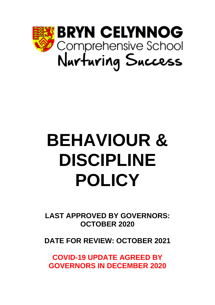

# **BEHAVIOUR & DISCIPLINE POLICY**

**LAST APPROVED BY GOVERNORS: OCTOBER 2020**

**DATE FOR REVIEW: OCTOBER 2021**

**COVID-19 UPDATE AGREED BY GOVERNORS IN DECEMBER 2020**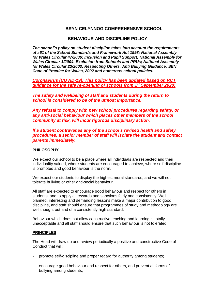# **BRYN CELYNNOG COMPREHENSIVE SCHOOL**

# **BEHAVIOUR AND DISCIPLINE POLICY**

*The school's policy on student discipline takes into account the requirements of s61 of the School Standards and Framework Act 1998; National Assembly for Wales Circular 47/2006: Inclusion and Pupil Support; National Assembly for Wales Circular 1/2004: Exclusion from Schools and PRUs; National Assembly for Wales Circular 23/2003: Respecting Others: Anti Bullying Guidance; SEN Code of Practice for Wales, 2002 and numerous school policies.*

*Coronavirus (COVID-19): This policy has been updated based on RCT guidance for the safe re-opening of schools from 1st September 2020:*

*The safety and wellbeing of staff and students during the return to school is considered to be of the utmost importance.*

*Any refusal to comply with new school procedures regarding safety, or any anti-social behaviour which places other members of the school community at risk, will incur rigorous disciplinary action.*

*If a student contravenes any of the school's revised health and safety procedures, a senior member of staff will isolate the student and contact parents immediately.* 

### **PHILOSOPHY**

We expect our school to be a place where all individuals are respected and their individuality valued, where students are encouraged to achieve, where self-discipline is promoted and good behaviour is the norm.

We expect our students to display the highest moral standards, and we will not tolerate bullying or other anti-social behaviour.

All staff are expected to encourage good behaviour and respect for others in students, and to apply all rewards and sanctions fairly and consistently. Well planned, interesting and demanding lessons make a major contribution to good discipline, and staff should ensure that programmes of study and methodology are well thought out and of a consistently high standard.

Behaviour which does not allow constructive teaching and learning is totally unacceptable and all staff should ensure that such behaviour is not tolerated.

# **PRINCIPLES**

The Head will draw up and review periodically a positive and constructive Code of Conduct that will:

- promote self-discipline and proper regard for authority among students;
- encourage good behaviour and respect for others, and prevent all forms of bullying among students;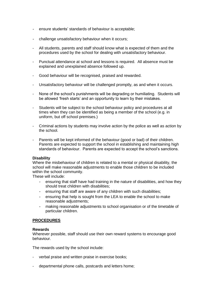- ensure students' standards of behaviour is acceptable;
- challenge unsatisfactory behaviour when it occurs;
- All students, parents and staff should know what is expected of them and the procedures used by the school for dealing with unsatisfactory behaviour.
- Punctual attendance at school and lessons is required. All absence must be explained and unexplained absence followed up.
- Good behaviour will be recognised, praised and rewarded.
- Unsatisfactory behaviour will be challenged promptly, as and when it occurs.
- None of the school's punishments will be degrading or humiliating. Students will be allowed 'fresh starts' and an opportunity to learn by their mistakes.
- Students will be subject to the school behaviour policy and procedures at all times when they can be identified as being a member of the school (e.g. in uniform, but off school premises.)
- Criminal actions by students may involve action by the police as well as action by the school.
- Parents will be kept informed of the behaviour (good or bad) of their children. Parents are expected to support the school in establishing and maintaining high standards of behaviour. Parents are expected to accept the school's sanctions.

### **Disability**

Where the misbehaviour of children is related to a mental or physical disability, the school will make reasonable adjustments to enable those children to be included within the school community.

These will include:

- ensuring that staff have had training in the nature of disabilities, and how they should treat children with disabilities;
- ensuring that staff are aware of any children with such disabilities;
- ensuring that help is sought from the LEA to enable the school to make reasonable adjustments:
- making reasonable adjustments to school organisation or of the timetable of particular children.

# **PROCEDURES**

### **Rewards**

Wherever possible, staff should use their own reward systems to encourage good behaviour.

The rewards used by the school include:

- verbal praise and written praise in exercise books;
- departmental phone calls, postcards and letters home;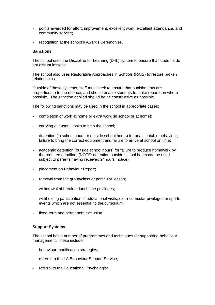- points awarded for effort, improvement, excellent work, excellent attendance, and community service;
- recognition at the school's Awards Ceremonies.

## **Sanctions**

The school uses the Discipline for Learning (D4L) system to ensure that students do not disrupt lessons.

The school also uses Restorative Approaches in Schools (RAIS) to restore broken relationships.

Outside of these systems, staff must seek to ensure that punishments are proportionate to the offence, and should enable students to make reparation where possible. The sanction applied should be as constructive as possible.

The following sanctions may be used in the school in appropriate cases:

- completion of work at home or extra work (in school or at home);
- carrying out useful tasks to help the school;
- detention (in school hours or outside school hours) for unacceptable behaviour, failure to bring the correct equipment and failure to arrive at school on time;
- academic detention (outside school hours) for failure to produce homework by the required deadline; (NOTE: detention outside school hours can be used subject to parents having received 24hours' notice);
- placement on Behaviour Report;
- removal from the group/class or particular lesson;
- withdrawal of break or lunchtime privileges;
- withholding participation in educational visits, extra-curricular privileges or sports events which are not essential to the curriculum;
- fixed-term and permanent exclusion.

### **Support Systems**

The school has a number of programmes and techniques for supporting behaviour management. These include:

- behaviour modification strategies;
- referral to the LA Behaviour Support Service;
- referral to the Educational Psychologist.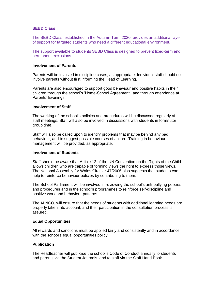### **SEBD Class**

The SEBD Class, established in the Autumn Term 2020, provides an additional layer of support for targeted students who need a different educational environment.

The support available to students SEBD Class is designed to prevent fixed-term and permanent exclusions.

### **Involvement of Parents**

Parents will be involved in discipline cases, as appropriate. Individual staff should not involve parents without first informing the Head of Learning.

Parents are also encouraged to support good behaviour and positive habits in their children through the school's 'Home-School Agreement', and through attendance at Parents' Evenings.

### **Involvement of Staff**

The working of the school's policies and procedures will be discussed regularly at staff meetings. Staff will also be involved in discussions with students in form/tutor group time.

Staff will also be called upon to identify problems that may be behind any bad behaviour, and to suggest possible courses of action. Training in behaviour management will be provided, as appropriate.

### **Involvement of Students**

Staff should be aware that Article 12 of the UN Convention on the Rights of the Child allows children who are capable of forming views the right to express those views. The National Assembly for Wales Circular 47/2006 also suggests that students can help to reinforce behaviour policies by contributing to them.

The School Parliament will be involved in reviewing the school's anti-bullying policies and procedures and in the school's programmes to reinforce self-discipline and positive work and behaviour patterns.

The ALNCO, will ensure that the needs of students with additional learning needs are properly taken into account, and their participation in the consultation process is assured.

### **Equal Opportunities**

All rewards and sanctions must be applied fairly and consistently and in accordance with the school's equal opportunities policy.

### **Publication**

The Headteacher will publicise the school's Code of Conduct annually to students and parents via the Student Journals, and to staff via the Staff Hand Book.